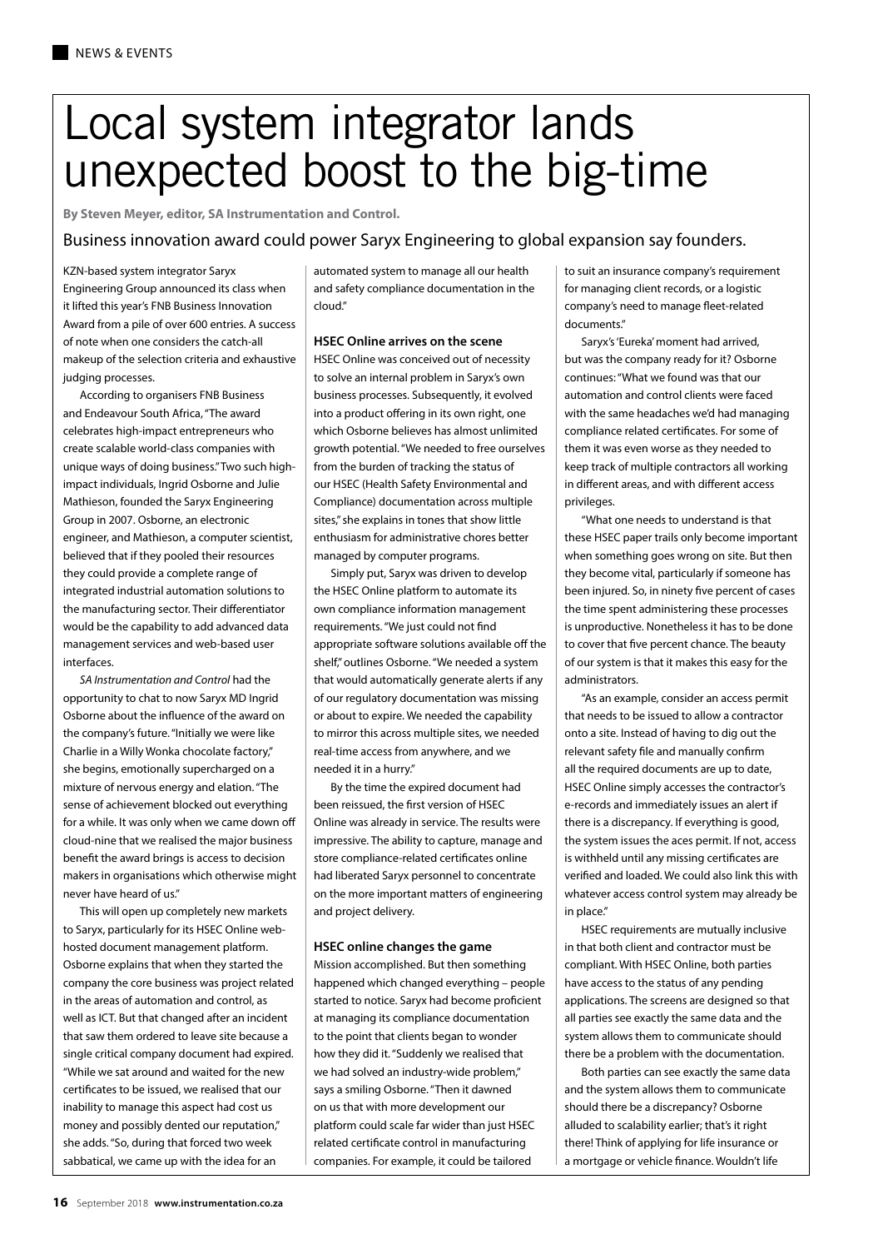# Local system integrator lands unexpected boost to the big-time

**By Steven Meyer, editor, SA Instrumentation and Control.**

Business innovation award could power Saryx Engineering to global expansion say founders.

KZN-based system integrator Saryx Engineering Group announced its class when it lifted this year's FNB Business Innovation Award from a pile of over 600 entries. A success of note when one considers the catch-all makeup of the selection criteria and exhaustive judging processes.

According to organisers FNB Business and Endeavour South Africa, "The award celebrates high-impact entrepreneurs who create scalable world-class companies with unique ways of doing business." Two such highimpact individuals, Ingrid Osborne and Julie Mathieson, founded the Saryx Engineering Group in 2007. Osborne, an electronic engineer, and Mathieson, a computer scientist, believed that if they pooled their resources they could provide a complete range of integrated industrial automation solutions to the manufacturing sector. Their differentiator would be the capability to add advanced data management services and web-based user interfaces.

*SA Instrumentation and Control* had the opportunity to chat to now Saryx MD Ingrid Osborne about the influence of the award on the company's future. "Initially we were like Charlie in a Willy Wonka chocolate factory," she begins, emotionally supercharged on a mixture of nervous energy and elation. "The sense of achievement blocked out everything for a while. It was only when we came down off cloud-nine that we realised the major business benefit the award brings is access to decision makers in organisations which otherwise might never have heard of us."

This will open up completely new markets to Saryx, particularly for its HSEC Online webhosted document management platform. Osborne explains that when they started the company the core business was project related in the areas of automation and control, as well as ICT. But that changed after an incident that saw them ordered to leave site because a single critical company document had expired. "While we sat around and waited for the new certificates to be issued, we realised that our inability to manage this aspect had cost us money and possibly dented our reputation," she adds. "So, during that forced two week sabbatical, we came up with the idea for an

automated system to manage all our health and safety compliance documentation in the cloud."

### **HSEC Online arrives on the scene**

HSEC Online was conceived out of necessity to solve an internal problem in Saryx's own business processes. Subsequently, it evolved into a product offering in its own right, one which Osborne believes has almost unlimited growth potential. "We needed to free ourselves from the burden of tracking the status of our HSEC (Health Safety Environmental and Compliance) documentation across multiple sites," she explains in tones that show little enthusiasm for administrative chores better managed by computer programs.

Simply put, Saryx was driven to develop the HSEC Online platform to automate its own compliance information management requirements. "We just could not find appropriate software solutions available off the shelf," outlines Osborne. "We needed a system that would automatically generate alerts if any of our regulatory documentation was missing or about to expire. We needed the capability to mirror this across multiple sites, we needed real-time access from anywhere, and we needed it in a hurry."

By the time the expired document had been reissued, the first version of HSEC Online was already in service. The results were impressive. The ability to capture, manage and store compliance-related certificates online had liberated Saryx personnel to concentrate on the more important matters of engineering and project delivery.

#### **HSEC online changes the game**

Mission accomplished. But then something happened which changed everything – people started to notice. Saryx had become proficient at managing its compliance documentation to the point that clients began to wonder how they did it. "Suddenly we realised that we had solved an industry-wide problem," says a smiling Osborne. "Then it dawned on us that with more development our platform could scale far wider than just HSEC related certificate control in manufacturing companies. For example, it could be tailored

to suit an insurance company's requirement for managing client records, or a logistic company's need to manage fleet-related documents."

Saryx's 'Eureka' moment had arrived, but was the company ready for it? Osborne continues: "What we found was that our automation and control clients were faced with the same headaches we'd had managing compliance related certificates. For some of them it was even worse as they needed to keep track of multiple contractors all working in different areas, and with different access privileges.

"What one needs to understand is that these HSEC paper trails only become important when something goes wrong on site. But then they become vital, particularly if someone has been injured. So, in ninety five percent of cases the time spent administering these processes is unproductive. Nonetheless it has to be done to cover that five percent chance. The beauty of our system is that it makes this easy for the administrators.

"As an example, consider an access permit that needs to be issued to allow a contractor onto a site. Instead of having to dig out the relevant safety file and manually confirm all the required documents are up to date, HSEC Online simply accesses the contractor's e-records and immediately issues an alert if there is a discrepancy. If everything is good, the system issues the aces permit. If not, access is withheld until any missing certificates are verified and loaded. We could also link this with whatever access control system may already be in place."

HSEC requirements are mutually inclusive in that both client and contractor must be compliant. With HSEC Online, both parties have access to the status of any pending applications. The screens are designed so that all parties see exactly the same data and the system allows them to communicate should there be a problem with the documentation.

Both parties can see exactly the same data and the system allows them to communicate should there be a discrepancy? Osborne alluded to scalability earlier; that's it right there! Think of applying for life insurance or a mortgage or vehicle finance. Wouldn't life